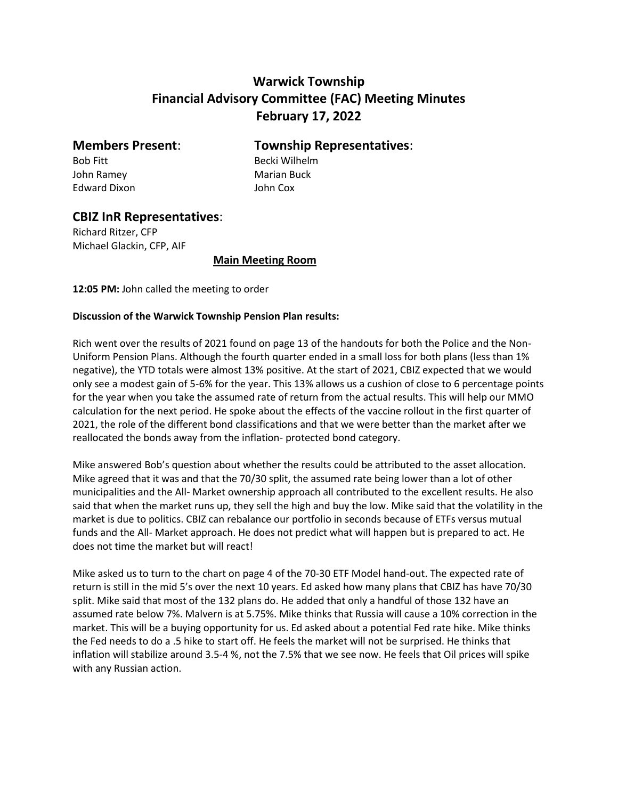# **Warwick Township Financial Advisory Committee (FAC) Meeting Minutes February 17, 2022**

Bob Fitt Becki Wilhelm John Ramey **Marian Buck** Edward Dixon John Cox

# **Members Present**: **Township Representatives**:

## **CBIZ InR Representatives**:

Richard Ritzer, CFP Michael Glackin, CFP, AIF

#### **Main Meeting Room**

**12:05 PM:** John called the meeting to order

### **Discussion of the Warwick Township Pension Plan results:**

Rich went over the results of 2021 found on page 13 of the handouts for both the Police and the Non-Uniform Pension Plans. Although the fourth quarter ended in a small loss for both plans (less than 1% negative), the YTD totals were almost 13% positive. At the start of 2021, CBIZ expected that we would only see a modest gain of 5-6% for the year. This 13% allows us a cushion of close to 6 percentage points for the year when you take the assumed rate of return from the actual results. This will help our MMO calculation for the next period. He spoke about the effects of the vaccine rollout in the first quarter of 2021, the role of the different bond classifications and that we were better than the market after we reallocated the bonds away from the inflation- protected bond category.

Mike answered Bob's question about whether the results could be attributed to the asset allocation. Mike agreed that it was and that the 70/30 split, the assumed rate being lower than a lot of other municipalities and the All- Market ownership approach all contributed to the excellent results. He also said that when the market runs up, they sell the high and buy the low. Mike said that the volatility in the market is due to politics. CBIZ can rebalance our portfolio in seconds because of ETFs versus mutual funds and the All- Market approach. He does not predict what will happen but is prepared to act. He does not time the market but will react!

Mike asked us to turn to the chart on page 4 of the 70-30 ETF Model hand-out. The expected rate of return is still in the mid 5's over the next 10 years. Ed asked how many plans that CBIZ has have 70/30 split. Mike said that most of the 132 plans do. He added that only a handful of those 132 have an assumed rate below 7%. Malvern is at 5.75%. Mike thinks that Russia will cause a 10% correction in the market. This will be a buying opportunity for us. Ed asked about a potential Fed rate hike. Mike thinks the Fed needs to do a .5 hike to start off. He feels the market will not be surprised. He thinks that inflation will stabilize around 3.5-4 %, not the 7.5% that we see now. He feels that Oil prices will spike with any Russian action.